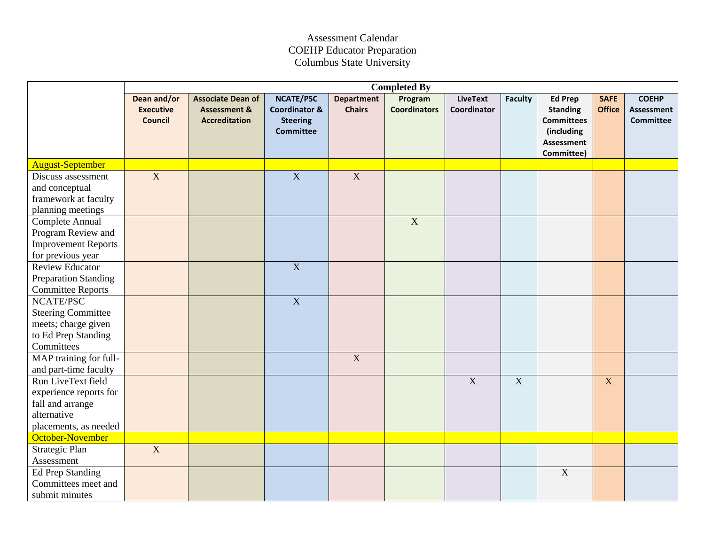## Assessment Calendar COEHP Educator Preparation Columbus State University

|                                                                                                          | <b>Completed By</b>                               |                                                                             |                                                                                     |                                    |                                |                                |                |                                                                                                         |                              |                                                       |
|----------------------------------------------------------------------------------------------------------|---------------------------------------------------|-----------------------------------------------------------------------------|-------------------------------------------------------------------------------------|------------------------------------|--------------------------------|--------------------------------|----------------|---------------------------------------------------------------------------------------------------------|------------------------------|-------------------------------------------------------|
|                                                                                                          | Dean and/or<br><b>Executive</b><br><b>Council</b> | <b>Associate Dean of</b><br><b>Assessment &amp;</b><br><b>Accreditation</b> | <b>NCATE/PSC</b><br><b>Coordinator &amp;</b><br><b>Steering</b><br><b>Committee</b> | <b>Department</b><br><b>Chairs</b> | Program<br><b>Coordinators</b> | <b>LiveText</b><br>Coordinator | <b>Faculty</b> | <b>Ed Prep</b><br><b>Standing</b><br><b>Committees</b><br>(including<br><b>Assessment</b><br>Committee) | <b>SAFE</b><br><b>Office</b> | <b>COEHP</b><br><b>Assessment</b><br><b>Committee</b> |
| <b>August-September</b>                                                                                  |                                                   |                                                                             |                                                                                     |                                    |                                |                                |                |                                                                                                         |                              |                                                       |
| Discuss assessment<br>and conceptual<br>framework at faculty<br>planning meetings                        | $\overline{X}$                                    |                                                                             | $\overline{X}$                                                                      | $\overline{X}$                     |                                |                                |                |                                                                                                         |                              |                                                       |
| Complete Annual<br>Program Review and<br><b>Improvement Reports</b><br>for previous year                 |                                                   |                                                                             |                                                                                     |                                    | $\overline{X}$                 |                                |                |                                                                                                         |                              |                                                       |
| <b>Review Educator</b><br><b>Preparation Standing</b><br><b>Committee Reports</b>                        |                                                   |                                                                             | $\overline{X}$                                                                      |                                    |                                |                                |                |                                                                                                         |                              |                                                       |
| NCATE/PSC<br><b>Steering Committee</b><br>meets; charge given<br>to Ed Prep Standing<br>Committees       |                                                   |                                                                             | $\overline{X}$                                                                      |                                    |                                |                                |                |                                                                                                         |                              |                                                       |
| MAP training for full-<br>and part-time faculty                                                          |                                                   |                                                                             |                                                                                     | $\overline{X}$                     |                                |                                |                |                                                                                                         |                              |                                                       |
| Run LiveText field<br>experience reports for<br>fall and arrange<br>alternative<br>placements, as needed |                                                   |                                                                             |                                                                                     |                                    |                                | $\overline{X}$                 | $\overline{X}$ |                                                                                                         | X                            |                                                       |
| October-November                                                                                         |                                                   |                                                                             |                                                                                     |                                    |                                |                                |                |                                                                                                         |                              |                                                       |
| Strategic Plan<br>Assessment                                                                             | $\overline{X}$                                    |                                                                             |                                                                                     |                                    |                                |                                |                |                                                                                                         |                              |                                                       |
| Ed Prep Standing<br>Committees meet and<br>submit minutes                                                |                                                   |                                                                             |                                                                                     |                                    |                                |                                |                | $\mathbf X$                                                                                             |                              |                                                       |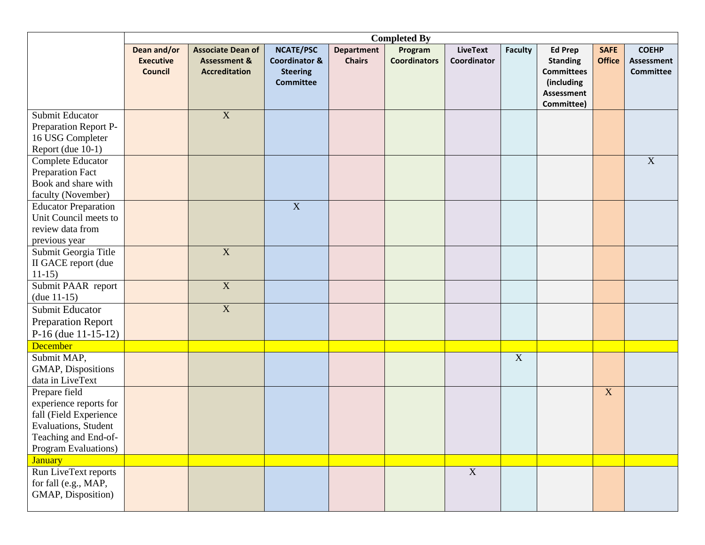|                                                                                                                                           | <b>Completed By</b>                               |                                                                             |                                                                                     |                                    |                                |                                |                |                                                                                                  |                              |                                                       |
|-------------------------------------------------------------------------------------------------------------------------------------------|---------------------------------------------------|-----------------------------------------------------------------------------|-------------------------------------------------------------------------------------|------------------------------------|--------------------------------|--------------------------------|----------------|--------------------------------------------------------------------------------------------------|------------------------------|-------------------------------------------------------|
|                                                                                                                                           | Dean and/or<br><b>Executive</b><br><b>Council</b> | <b>Associate Dean of</b><br><b>Assessment &amp;</b><br><b>Accreditation</b> | <b>NCATE/PSC</b><br><b>Coordinator &amp;</b><br><b>Steering</b><br><b>Committee</b> | <b>Department</b><br><b>Chairs</b> | Program<br><b>Coordinators</b> | <b>LiveText</b><br>Coordinator | <b>Faculty</b> | <b>Ed Prep</b><br><b>Standing</b><br><b>Committees</b><br>(including<br>Assessment<br>Committee) | <b>SAFE</b><br><b>Office</b> | <b>COEHP</b><br><b>Assessment</b><br><b>Committee</b> |
| Submit Educator<br>Preparation Report P-<br>16 USG Completer<br>Report (due 10-1)                                                         |                                                   | $\mathbf X$                                                                 |                                                                                     |                                    |                                |                                |                |                                                                                                  |                              |                                                       |
| Complete Educator<br><b>Preparation Fact</b><br>Book and share with<br>faculty (November)                                                 |                                                   |                                                                             |                                                                                     |                                    |                                |                                |                |                                                                                                  |                              | $\mathbf X$                                           |
| <b>Educator Preparation</b><br>Unit Council meets to<br>review data from<br>previous year                                                 |                                                   |                                                                             | $\overline{X}$                                                                      |                                    |                                |                                |                |                                                                                                  |                              |                                                       |
| Submit Georgia Title<br>II GACE report (due<br>$11-15$                                                                                    |                                                   | $\mathbf X$                                                                 |                                                                                     |                                    |                                |                                |                |                                                                                                  |                              |                                                       |
| Submit PAAR report<br>$(due 11-15)$                                                                                                       |                                                   | $\overline{X}$                                                              |                                                                                     |                                    |                                |                                |                |                                                                                                  |                              |                                                       |
| Submit Educator<br><b>Preparation Report</b><br>P-16 (due $11-15-12$ )                                                                    |                                                   | $\overline{X}$                                                              |                                                                                     |                                    |                                |                                |                |                                                                                                  |                              |                                                       |
| December                                                                                                                                  |                                                   |                                                                             |                                                                                     |                                    |                                |                                |                |                                                                                                  |                              |                                                       |
| Submit MAP,<br>GMAP, Dispositions<br>data in LiveText                                                                                     |                                                   |                                                                             |                                                                                     |                                    |                                |                                | $\mathbf X$    |                                                                                                  |                              |                                                       |
| Prepare field<br>experience reports for<br>fall (Field Experience<br>Evaluations, Student<br>Teaching and End-of-<br>Program Evaluations) |                                                   |                                                                             |                                                                                     |                                    |                                |                                |                |                                                                                                  | $\mathbf X$                  |                                                       |
| <b>January</b>                                                                                                                            |                                                   |                                                                             |                                                                                     |                                    |                                |                                |                |                                                                                                  |                              |                                                       |
| Run LiveText reports<br>for fall (e.g., MAP,<br>GMAP, Disposition)                                                                        |                                                   |                                                                             |                                                                                     |                                    |                                | $\overline{X}$                 |                |                                                                                                  |                              |                                                       |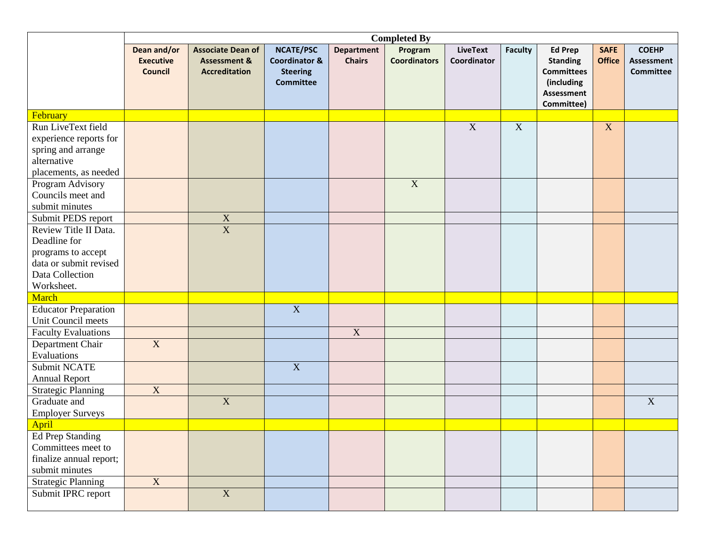|                             | <b>Completed By</b>                               |                                                                             |                                                                                     |                                    |                                |                                |                |                                                                                                         |                              |                                                       |
|-----------------------------|---------------------------------------------------|-----------------------------------------------------------------------------|-------------------------------------------------------------------------------------|------------------------------------|--------------------------------|--------------------------------|----------------|---------------------------------------------------------------------------------------------------------|------------------------------|-------------------------------------------------------|
|                             | Dean and/or<br><b>Executive</b><br><b>Council</b> | <b>Associate Dean of</b><br><b>Assessment &amp;</b><br><b>Accreditation</b> | <b>NCATE/PSC</b><br><b>Coordinator &amp;</b><br><b>Steering</b><br><b>Committee</b> | <b>Department</b><br><b>Chairs</b> | Program<br><b>Coordinators</b> | <b>LiveText</b><br>Coordinator | <b>Faculty</b> | <b>Ed Prep</b><br><b>Standing</b><br><b>Committees</b><br>(including<br><b>Assessment</b><br>Committee) | <b>SAFE</b><br><b>Office</b> | <b>COEHP</b><br><b>Assessment</b><br><b>Committee</b> |
| February                    |                                                   |                                                                             |                                                                                     |                                    |                                |                                |                |                                                                                                         |                              |                                                       |
| Run LiveText field          |                                                   |                                                                             |                                                                                     |                                    |                                | $\mathbf X$                    | $\mathbf X$    |                                                                                                         | X                            |                                                       |
| experience reports for      |                                                   |                                                                             |                                                                                     |                                    |                                |                                |                |                                                                                                         |                              |                                                       |
| spring and arrange          |                                                   |                                                                             |                                                                                     |                                    |                                |                                |                |                                                                                                         |                              |                                                       |
| alternative                 |                                                   |                                                                             |                                                                                     |                                    |                                |                                |                |                                                                                                         |                              |                                                       |
| placements, as needed       |                                                   |                                                                             |                                                                                     |                                    |                                |                                |                |                                                                                                         |                              |                                                       |
| Program Advisory            |                                                   |                                                                             |                                                                                     |                                    | $\overline{X}$                 |                                |                |                                                                                                         |                              |                                                       |
| Councils meet and           |                                                   |                                                                             |                                                                                     |                                    |                                |                                |                |                                                                                                         |                              |                                                       |
| submit minutes              |                                                   |                                                                             |                                                                                     |                                    |                                |                                |                |                                                                                                         |                              |                                                       |
| Submit PEDS report          |                                                   | $\frac{\overline{X}}{\overline{X}}$                                         |                                                                                     |                                    |                                |                                |                |                                                                                                         |                              |                                                       |
| Review Title II Data.       |                                                   |                                                                             |                                                                                     |                                    |                                |                                |                |                                                                                                         |                              |                                                       |
| Deadline for                |                                                   |                                                                             |                                                                                     |                                    |                                |                                |                |                                                                                                         |                              |                                                       |
| programs to accept          |                                                   |                                                                             |                                                                                     |                                    |                                |                                |                |                                                                                                         |                              |                                                       |
| data or submit revised      |                                                   |                                                                             |                                                                                     |                                    |                                |                                |                |                                                                                                         |                              |                                                       |
| Data Collection             |                                                   |                                                                             |                                                                                     |                                    |                                |                                |                |                                                                                                         |                              |                                                       |
| Worksheet.                  |                                                   |                                                                             |                                                                                     |                                    |                                |                                |                |                                                                                                         |                              |                                                       |
| <b>March</b>                |                                                   |                                                                             |                                                                                     |                                    |                                |                                |                |                                                                                                         |                              |                                                       |
| <b>Educator Preparation</b> |                                                   |                                                                             | $\overline{X}$                                                                      |                                    |                                |                                |                |                                                                                                         |                              |                                                       |
| Unit Council meets          |                                                   |                                                                             |                                                                                     |                                    |                                |                                |                |                                                                                                         |                              |                                                       |
| <b>Faculty Evaluations</b>  |                                                   |                                                                             |                                                                                     | X                                  |                                |                                |                |                                                                                                         |                              |                                                       |
| Department Chair            | $\overline{X}$                                    |                                                                             |                                                                                     |                                    |                                |                                |                |                                                                                                         |                              |                                                       |
| Evaluations                 |                                                   |                                                                             |                                                                                     |                                    |                                |                                |                |                                                                                                         |                              |                                                       |
| Submit NCATE                |                                                   |                                                                             | $\overline{X}$                                                                      |                                    |                                |                                |                |                                                                                                         |                              |                                                       |
| <b>Annual Report</b>        |                                                   |                                                                             |                                                                                     |                                    |                                |                                |                |                                                                                                         |                              |                                                       |
| <b>Strategic Planning</b>   | $\mathbf X$                                       |                                                                             |                                                                                     |                                    |                                |                                |                |                                                                                                         |                              |                                                       |
| Graduate and                |                                                   | $\overline{X}$                                                              |                                                                                     |                                    |                                |                                |                |                                                                                                         |                              | $\mathbf X$                                           |
| <b>Employer Surveys</b>     |                                                   |                                                                             |                                                                                     |                                    |                                |                                |                |                                                                                                         |                              |                                                       |
| <b>April</b>                |                                                   |                                                                             |                                                                                     |                                    |                                |                                |                |                                                                                                         |                              |                                                       |
| Ed Prep Standing            |                                                   |                                                                             |                                                                                     |                                    |                                |                                |                |                                                                                                         |                              |                                                       |
| Committees meet to          |                                                   |                                                                             |                                                                                     |                                    |                                |                                |                |                                                                                                         |                              |                                                       |
| finalize annual report;     |                                                   |                                                                             |                                                                                     |                                    |                                |                                |                |                                                                                                         |                              |                                                       |
| submit minutes              |                                                   |                                                                             |                                                                                     |                                    |                                |                                |                |                                                                                                         |                              |                                                       |
| <b>Strategic Planning</b>   | $\mathbf X$                                       |                                                                             |                                                                                     |                                    |                                |                                |                |                                                                                                         |                              |                                                       |
| Submit IPRC report          |                                                   | $\overline{X}$                                                              |                                                                                     |                                    |                                |                                |                |                                                                                                         |                              |                                                       |
|                             |                                                   |                                                                             |                                                                                     |                                    |                                |                                |                |                                                                                                         |                              |                                                       |